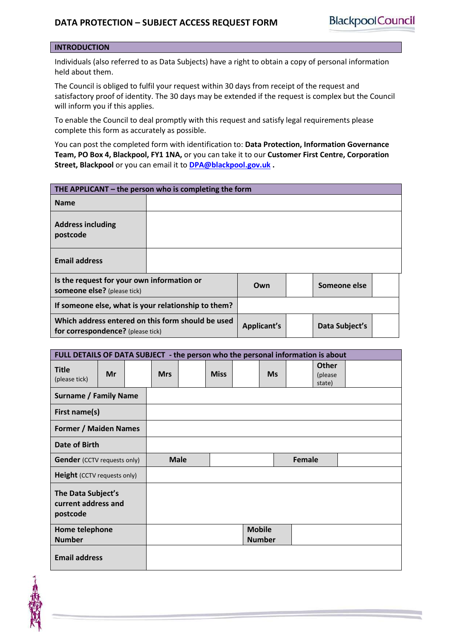# **INTRODUCTION**

Individuals (also referred to as Data Subjects) have a right to obtain a copy of personal information held about them.

The Council is obliged to fulfil your request within 30 days from receipt of the request and satisfactory proof of identity. The 30 days may be extended if the request is complex but the Council will inform you if this applies.

To enable the Council to deal promptly with this request and satisfy legal requirements please complete this form as accurately as possible.

You can post the completed form with identification to: **Data Protection, Information Governance Team, PO Box 4, Blackpool, FY1 1NA,** or you can take it to our **Customer First Centre, Corporation Street, Blackpool** or you can email it to **[DPA@blackpool.gov.uk](mailto:DPA@blackpool.gov.uk) .**

| THE APPLICANT – the person who is completing the form                                  |                    |     |                |              |  |
|----------------------------------------------------------------------------------------|--------------------|-----|----------------|--------------|--|
| <b>Name</b>                                                                            |                    |     |                |              |  |
| <b>Address including</b><br>postcode                                                   |                    |     |                |              |  |
| <b>Email address</b>                                                                   |                    |     |                |              |  |
| Is the request for your own information or<br>someone else? (please tick)              |                    | Own |                | Someone else |  |
| If someone else, what is your relationship to them?                                    |                    |     |                |              |  |
| Which address entered on this form should be used<br>for correspondence? (please tick) | <b>Applicant's</b> |     | Data Subject's |              |  |

| FULL DETAILS OF DATA SUBJECT - the person who the personal information is about |    |  |            |             |             |               |               |        |                                    |  |
|---------------------------------------------------------------------------------|----|--|------------|-------------|-------------|---------------|---------------|--------|------------------------------------|--|
| <b>Title</b><br>(please tick)                                                   | Mr |  | <b>Mrs</b> |             | <b>Miss</b> |               | <b>Ms</b>     |        | <b>Other</b><br>(please)<br>state) |  |
| <b>Surname / Family Name</b>                                                    |    |  |            |             |             |               |               |        |                                    |  |
| First name(s)                                                                   |    |  |            |             |             |               |               |        |                                    |  |
| <b>Former / Maiden Names</b>                                                    |    |  |            |             |             |               |               |        |                                    |  |
| Date of Birth                                                                   |    |  |            |             |             |               |               |        |                                    |  |
| <b>Gender</b> (CCTV requests only)                                              |    |  |            | <b>Male</b> |             |               |               | Female |                                    |  |
| <b>Height</b> (CCTV requests only)                                              |    |  |            |             |             |               |               |        |                                    |  |
| The Data Subject's<br>current address and<br>postcode                           |    |  |            |             |             |               |               |        |                                    |  |
| Home telephone                                                                  |    |  |            |             |             | <b>Mobile</b> |               |        |                                    |  |
| <b>Number</b>                                                                   |    |  |            |             |             |               | <b>Number</b> |        |                                    |  |
| <b>Email address</b>                                                            |    |  |            |             |             |               |               |        |                                    |  |

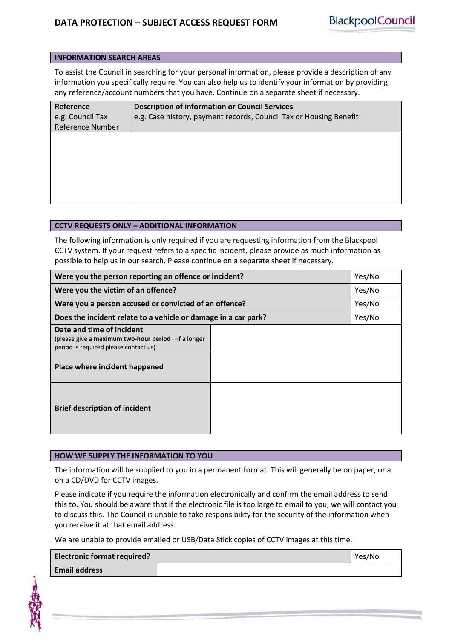# **INFORMATION SEARCH AREAS**

To assist the Council in searching for your personal information, please provide a description of any information you specifically require. You can also help us to identify your information by providing any reference/account numbers that you have. Continue on a separate sheet if necessary.

| Reference        | <b>Description of information or Council Services</b>              |
|------------------|--------------------------------------------------------------------|
| e.g. Council Tax | e.g. Case history, payment records, Council Tax or Housing Benefit |
| Reference Number |                                                                    |
|                  |                                                                    |
|                  |                                                                    |
|                  |                                                                    |
|                  |                                                                    |
|                  |                                                                    |
|                  |                                                                    |
|                  |                                                                    |

## **CCTV REQUESTS ONLY – ADDITIONAL INFORMATION**

The following information is only required if you are requesting information from the Blackpool CCTV system. If your request refers to a specific incident, please provide as much information as possible to help us in our search. Please continue on a separate sheet if necessary.

| Were you the person reporting an offence or incident?                                                                        |        |        |
|------------------------------------------------------------------------------------------------------------------------------|--------|--------|
| Were you the victim of an offence?                                                                                           |        | Yes/No |
| Were you a person accused or convicted of an offence?                                                                        | Yes/No |        |
| Does the incident relate to a vehicle or damage in a car park?                                                               |        | Yes/No |
| Date and time of incident<br>(please give a maximum two-hour period $-$ if a longer<br>period is required please contact us) |        |        |
| Place where incident happened                                                                                                |        |        |
| <b>Brief description of incident</b>                                                                                         |        |        |

## **HOW WE SUPPLY THE INFORMATION TO YOU**

The information will be supplied to you in a permanent format. This will generally be on paper, or a on a CD/DVD for CCTV images.

Please indicate if you require the information electronically and confirm the email address to send this to. You should be aware that if the electronic file is too large to email to you, we will contact you to discuss this. The Council is unable to take responsibility for the security of the information when you receive it at that email address.

We are unable to provide emailed or USB/Data Stick copies of CCTV images at this time.

| <b>Electronic format required?</b> | Yes/No |
|------------------------------------|--------|
| <b>Email address</b>               |        |